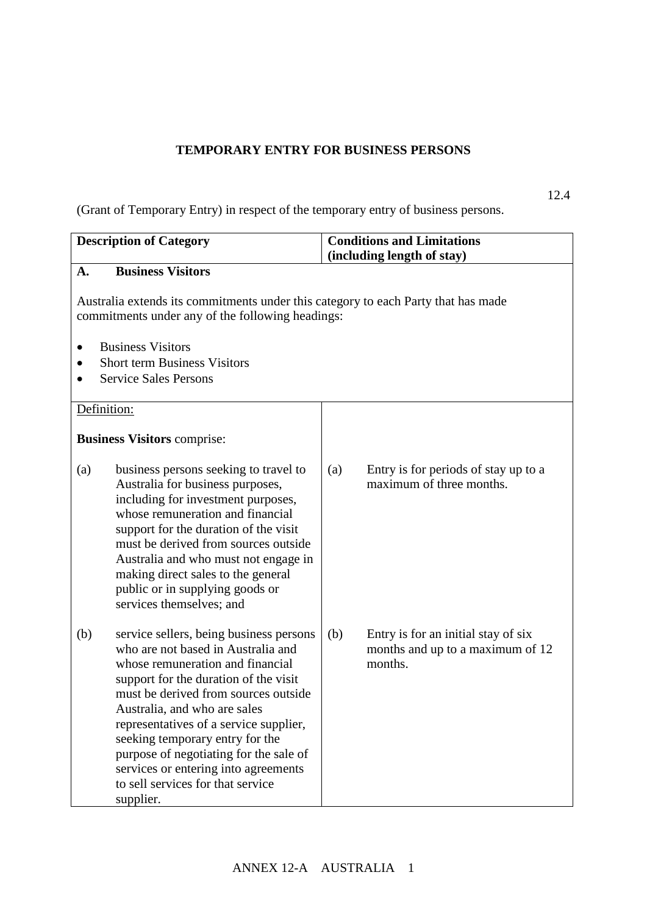## **TEMPORARY ENTRY FOR BUSINESS PERSONS**

(Grant of Temporary Entry) in respect of the temporary entry of business persons.

| <b>Description of Category</b> |                                                                                                                                                                                                                                                                                                                                                                                                                                                     | <b>Conditions and Limitations</b><br>(including length of stay) |                                                                                    |  |  |
|--------------------------------|-----------------------------------------------------------------------------------------------------------------------------------------------------------------------------------------------------------------------------------------------------------------------------------------------------------------------------------------------------------------------------------------------------------------------------------------------------|-----------------------------------------------------------------|------------------------------------------------------------------------------------|--|--|
| A.                             | <b>Business Visitors</b>                                                                                                                                                                                                                                                                                                                                                                                                                            |                                                                 |                                                                                    |  |  |
|                                | Australia extends its commitments under this category to each Party that has made<br>commitments under any of the following headings:                                                                                                                                                                                                                                                                                                               |                                                                 |                                                                                    |  |  |
|                                | <b>Business Visitors</b><br><b>Short term Business Visitors</b><br><b>Service Sales Persons</b>                                                                                                                                                                                                                                                                                                                                                     |                                                                 |                                                                                    |  |  |
|                                |                                                                                                                                                                                                                                                                                                                                                                                                                                                     |                                                                 |                                                                                    |  |  |
| Definition:                    |                                                                                                                                                                                                                                                                                                                                                                                                                                                     |                                                                 |                                                                                    |  |  |
|                                | <b>Business Visitors comprise:</b>                                                                                                                                                                                                                                                                                                                                                                                                                  |                                                                 |                                                                                    |  |  |
| (a)                            | business persons seeking to travel to<br>Australia for business purposes,<br>including for investment purposes,<br>whose remuneration and financial<br>support for the duration of the visit<br>must be derived from sources outside<br>Australia and who must not engage in<br>making direct sales to the general<br>public or in supplying goods or<br>services themselves; and                                                                   | (a)                                                             | Entry is for periods of stay up to a<br>maximum of three months.                   |  |  |
| (b)                            | service sellers, being business persons<br>who are not based in Australia and<br>whose remuneration and financial<br>support for the duration of the visit<br>must be derived from sources outside<br>Australia, and who are sales<br>representatives of a service supplier,<br>seeking temporary entry for the<br>purpose of negotiating for the sale of<br>services or entering into agreements<br>to sell services for that service<br>supplier. | (b)                                                             | Entry is for an initial stay of six<br>months and up to a maximum of 12<br>months. |  |  |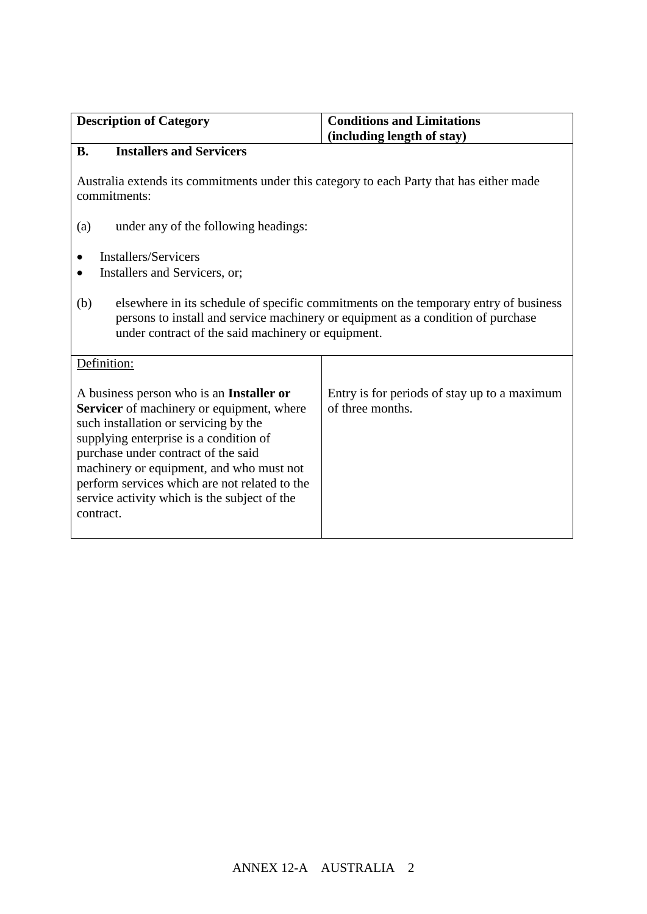| <b>Description of Category</b>                                                                                                                                                                                                                                                                                                                                            | <b>Conditions and Limitations</b><br>(including length of stay)  |  |  |
|---------------------------------------------------------------------------------------------------------------------------------------------------------------------------------------------------------------------------------------------------------------------------------------------------------------------------------------------------------------------------|------------------------------------------------------------------|--|--|
| <b>Installers and Servicers</b><br><b>B.</b>                                                                                                                                                                                                                                                                                                                              |                                                                  |  |  |
| Australia extends its commitments under this category to each Party that has either made<br>commitments:                                                                                                                                                                                                                                                                  |                                                                  |  |  |
| under any of the following headings:<br>(a)                                                                                                                                                                                                                                                                                                                               |                                                                  |  |  |
| <b>Installers/Servicers</b><br>Installers and Servicers, or;                                                                                                                                                                                                                                                                                                              |                                                                  |  |  |
| (b)<br>elsewhere in its schedule of specific commitments on the temporary entry of business<br>persons to install and service machinery or equipment as a condition of purchase<br>under contract of the said machinery or equipment.                                                                                                                                     |                                                                  |  |  |
| Definition:                                                                                                                                                                                                                                                                                                                                                               |                                                                  |  |  |
| A business person who is an Installer or<br>Servicer of machinery or equipment, where<br>such installation or servicing by the<br>supplying enterprise is a condition of<br>purchase under contract of the said<br>machinery or equipment, and who must not<br>perform services which are not related to the<br>service activity which is the subject of the<br>contract. | Entry is for periods of stay up to a maximum<br>of three months. |  |  |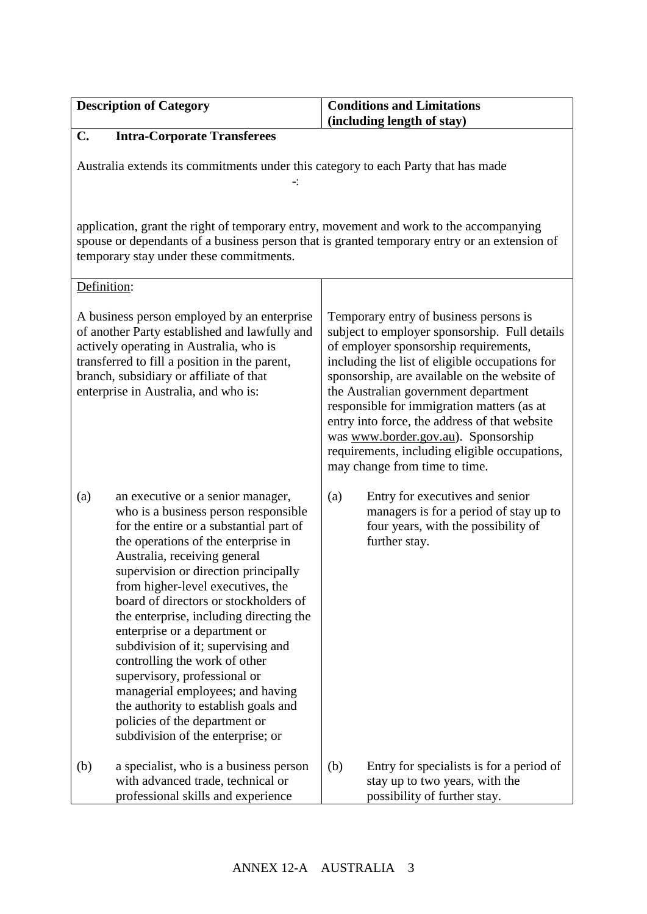| <b>Description of Category</b>                                                                                                                                                                                                                                                                                                                                                                                                                                                                                                                                                                                                                                | <b>Conditions and Limitations</b>                                                                                                                                                                                                                                                                                                                                                                                                                                                                  |  |  |  |
|---------------------------------------------------------------------------------------------------------------------------------------------------------------------------------------------------------------------------------------------------------------------------------------------------------------------------------------------------------------------------------------------------------------------------------------------------------------------------------------------------------------------------------------------------------------------------------------------------------------------------------------------------------------|----------------------------------------------------------------------------------------------------------------------------------------------------------------------------------------------------------------------------------------------------------------------------------------------------------------------------------------------------------------------------------------------------------------------------------------------------------------------------------------------------|--|--|--|
|                                                                                                                                                                                                                                                                                                                                                                                                                                                                                                                                                                                                                                                               | (including length of stay)                                                                                                                                                                                                                                                                                                                                                                                                                                                                         |  |  |  |
| <b>Intra-Corporate Transferees</b><br>$\mathbf{C}$ .<br>Australia extends its commitments under this category to each Party that has made                                                                                                                                                                                                                                                                                                                                                                                                                                                                                                                     |                                                                                                                                                                                                                                                                                                                                                                                                                                                                                                    |  |  |  |
| application, grant the right of temporary entry, movement and work to the accompanying<br>spouse or dependants of a business person that is granted temporary entry or an extension of<br>temporary stay under these commitments.                                                                                                                                                                                                                                                                                                                                                                                                                             |                                                                                                                                                                                                                                                                                                                                                                                                                                                                                                    |  |  |  |
| Definition:                                                                                                                                                                                                                                                                                                                                                                                                                                                                                                                                                                                                                                                   |                                                                                                                                                                                                                                                                                                                                                                                                                                                                                                    |  |  |  |
| A business person employed by an enterprise<br>of another Party established and lawfully and<br>actively operating in Australia, who is<br>transferred to fill a position in the parent,<br>branch, subsidiary or affiliate of that<br>enterprise in Australia, and who is:                                                                                                                                                                                                                                                                                                                                                                                   | Temporary entry of business persons is<br>subject to employer sponsorship. Full details<br>of employer sponsorship requirements,<br>including the list of eligible occupations for<br>sponsorship, are available on the website of<br>the Australian government department<br>responsible for immigration matters (as at<br>entry into force, the address of that website<br>was www.border.gov.au). Sponsorship<br>requirements, including eligible occupations,<br>may change from time to time. |  |  |  |
| an executive or a senior manager,<br>(a)<br>who is a business person responsible<br>for the entire or a substantial part of<br>the operations of the enterprise in<br>Australia, receiving general<br>supervision or direction principally<br>from higher-level executives, the<br>board of directors or stockholders of<br>the enterprise, including directing the<br>enterprise or a department or<br>subdivision of it; supervising and<br>controlling the work of other<br>supervisory, professional or<br>managerial employees; and having<br>the authority to establish goals and<br>policies of the department or<br>subdivision of the enterprise; or | Entry for executives and senior<br>(a)<br>managers is for a period of stay up to<br>four years, with the possibility of<br>further stay.                                                                                                                                                                                                                                                                                                                                                           |  |  |  |
| a specialist, who is a business person<br>(b)<br>with advanced trade, technical or<br>professional skills and experience                                                                                                                                                                                                                                                                                                                                                                                                                                                                                                                                      | (b)<br>Entry for specialists is for a period of<br>stay up to two years, with the<br>possibility of further stay.                                                                                                                                                                                                                                                                                                                                                                                  |  |  |  |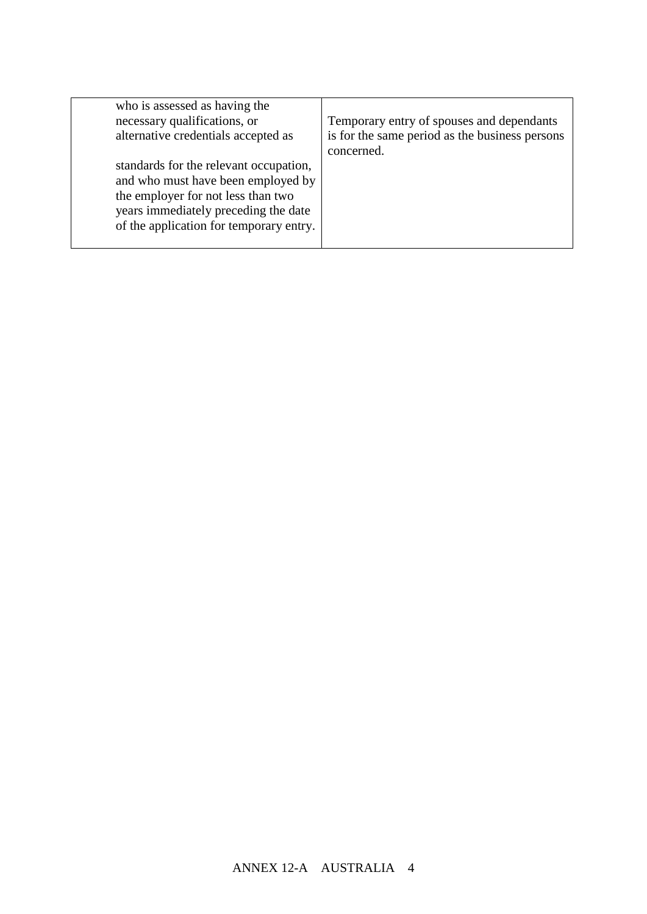| who is assessed as having the<br>necessary qualifications, or<br>alternative credentials accepted as<br>standards for the relevant occupation,<br>and who must have been employed by<br>the employer for not less than two<br>years immediately preceding the date<br>of the application for temporary entry. | Temporary entry of spouses and dependants<br>is for the same period as the business persons<br>concerned. |
|---------------------------------------------------------------------------------------------------------------------------------------------------------------------------------------------------------------------------------------------------------------------------------------------------------------|-----------------------------------------------------------------------------------------------------------|
|                                                                                                                                                                                                                                                                                                               |                                                                                                           |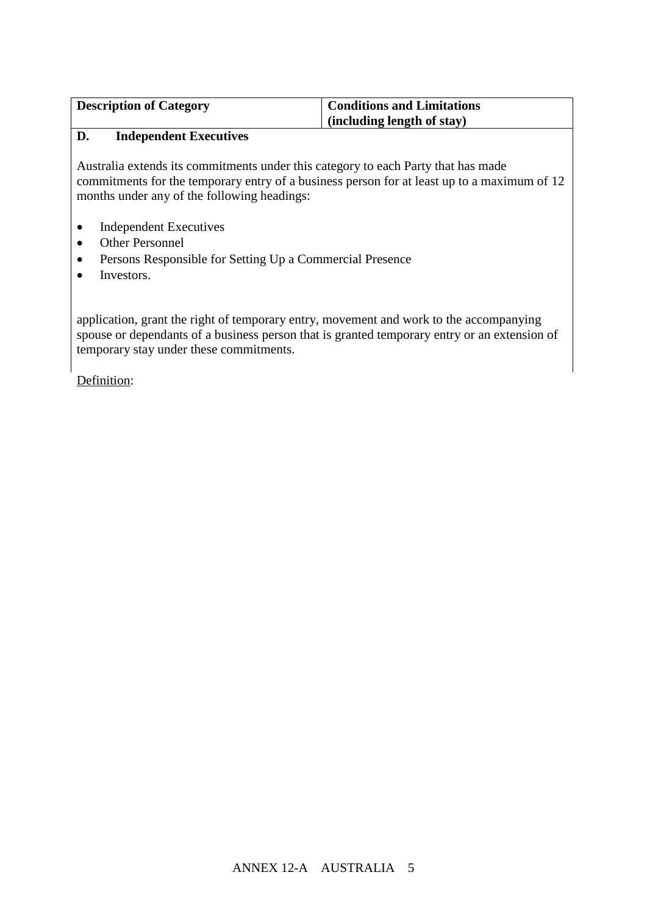| <b>Description of Category</b> | <b>Conditions and Limitations</b> |
|--------------------------------|-----------------------------------|
|                                | (including length of stay)        |

## **D. Independent Executives**

Australia extends its commitments under this category to each Party that has made commitments for the temporary entry of a business person for at least up to a maximum of 12 months under any of the following headings:

- Independent Executives
- Other Personnel
- Persons Responsible for Setting Up a Commercial Presence
- Investors.

application, grant the right of temporary entry, movement and work to the accompanying spouse or dependants of a business person that is granted temporary entry or an extension of temporary stay under these commitments.

Definition: